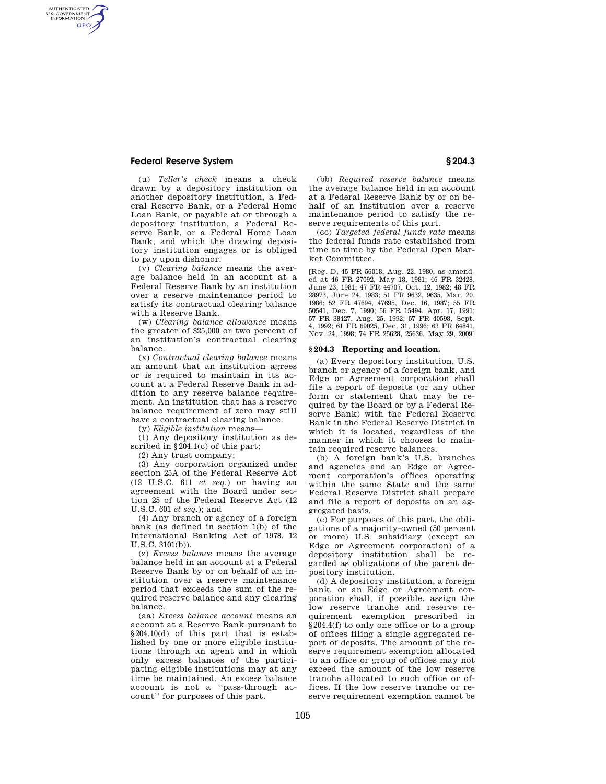## **Federal Reserve System § 204.3**

AUTHENTICATED<br>U.S. GOVERNMENT<br>INFORMATION **GPO** 

> (u) *Teller's check* means a check drawn by a depository institution on another depository institution, a Federal Reserve Bank, or a Federal Home Loan Bank, or payable at or through a depository institution, a Federal Reserve Bank, or a Federal Home Loan Bank, and which the drawing depository institution engages or is obliged to pay upon dishonor.

> (v) *Clearing balance* means the average balance held in an account at a Federal Reserve Bank by an institution over a reserve maintenance period to satisfy its contractual clearing balance with a Reserve Bank.

> (w) *Clearing balance allowance* means the greater of \$25,000 or two percent of an institution's contractual clearing balance.

> (x) *Contractual clearing balance* means an amount that an institution agrees or is required to maintain in its account at a Federal Reserve Bank in addition to any reserve balance requirement. An institution that has a reserve balance requirement of zero may still have a contractual clearing balance.

(y) *Eligible institution* means—

(1) Any depository institution as described in §204.1(c) of this part;

(2) Any trust company;

(3) Any corporation organized under section 25A of the Federal Reserve Act (12 U.S.C. 611 *et seq.*) or having an agreement with the Board under section 25 of the Federal Reserve Act (12 U.S.C. 601 *et seq.*); and

(4) Any branch or agency of a foreign bank (as defined in section 1(b) of the International Banking Act of 1978, 12 U.S.C. 3101(b)).

(z) *Excess balance* means the average balance held in an account at a Federal Reserve Bank by or on behalf of an institution over a reserve maintenance period that exceeds the sum of the required reserve balance and any clearing balance.

(aa) *Excess balance account* means an account at a Reserve Bank pursuant to §204.10(d) of this part that is established by one or more eligible institutions through an agent and in which only excess balances of the participating eligible institutions may at any time be maintained. An excess balance account is not a ''pass-through account'' for purposes of this part.

(bb) *Required reserve balance* means the average balance held in an account at a Federal Reserve Bank by or on behalf of an institution over a reserve maintenance period to satisfy the reserve requirements of this part.

(cc) *Targeted federal funds rate* means the federal funds rate established from time to time by the Federal Open Market Committee.

[Reg. D, 45 FR 56018, Aug. 22, 1980, as amended at 46 FR 27092, May 18, 1981; 46 FR 32428, June 23, 1981; 47 FR 44707, Oct. 12, 1982; 48 FR 28973, June 24, 1983; 51 FR 9632, 9635, Mar. 20, 1986; 52 FR 47694, 47695, Dec. 16, 1987; 55 FR 50541, Dec. 7, 1990; 56 FR 15494, Apr. 17, 1991; 57 FR 38427, Aug. 25, 1992; 57 FR 40598, Sept. 4, 1992; 61 FR 69025, Dec. 31, 1996; 63 FR 64841, Nov. 24, 1998; 74 FR 25628, 25636, May 29, 2009]

## **§ 204.3 Reporting and location.**

(a) Every depository institution, U.S. branch or agency of a foreign bank, and Edge or Agreement corporation shall file a report of deposits (or any other form or statement that may be required by the Board or by a Federal Reserve Bank) with the Federal Reserve Bank in the Federal Reserve District in which it is located, regardless of the manner in which it chooses to maintain required reserve balances.

(b) A foreign bank's U.S. branches and agencies and an Edge or Agreement corporation's offices operating within the same State and the same Federal Reserve District shall prepare and file a report of deposits on an aggregated basis.

(c) For purposes of this part, the obligations of a majority-owned (50 percent or more) U.S. subsidiary (except an Edge or Agreement corporation) of a depository institution shall be regarded as obligations of the parent depository institution.

(d) A depository institution, a foreign bank, or an Edge or Agreement corporation shall, if possible, assign the low reserve tranche and reserve requirement exemption prescribed in §204.4(f) to only one office or to a group of offices filing a single aggregated report of deposits. The amount of the reserve requirement exemption allocated to an office or group of offices may not exceed the amount of the low reserve tranche allocated to such office or offices. If the low reserve tranche or reserve requirement exemption cannot be